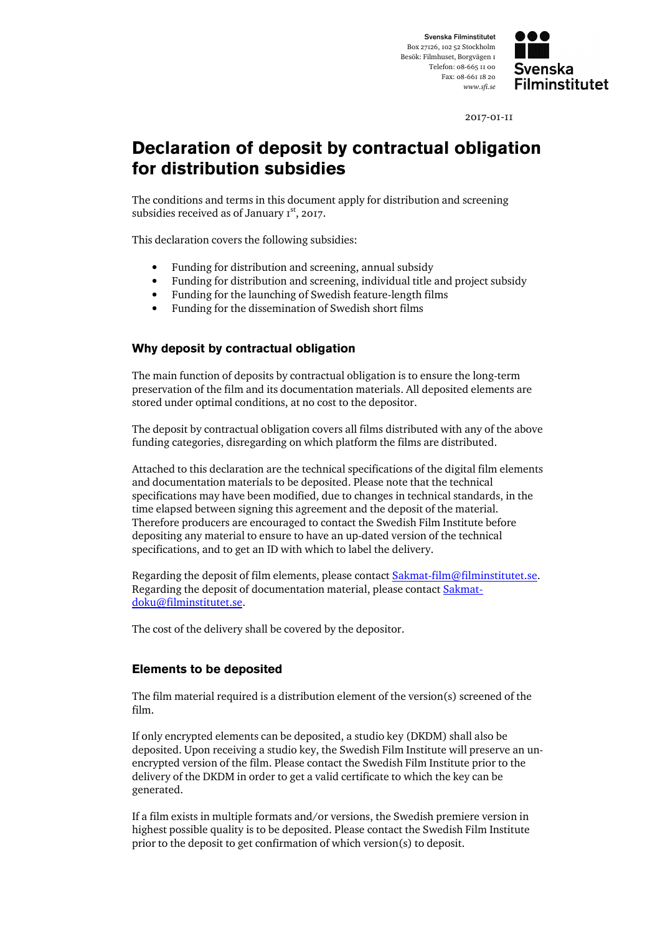

2017-01-11

## **Declaration of deposit by contractual obligation for distribution subsidies**

The conditions and terms in this document apply for distribution and screening subsidies received as of January  $I^{st}$ , 2017.

This declaration covers the following subsidies:

- Funding for distribution and screening, annual subsidy
- Funding for distribution and screening, individual title and project subsidy
- Funding for the launching of Swedish feature-length films
- Funding for the dissemination of Swedish short films

## **Why deposit by contractual obligation**

The main function of deposits by contractual obligation is to ensure the long-term preservation of the film and its documentation materials. All deposited elements are stored under optimal conditions, at no cost to the depositor.

The deposit by contractual obligation covers all films distributed with any of the above funding categories, disregarding on which platform the films are distributed.

Attached to this declaration are the technical specifications of the digital film elements and documentation materials to be deposited. Please note that the technical specifications may have been modified, due to changes in technical standards, in the time elapsed between signing this agreement and the deposit of the material. Therefore producers are encouraged to contact the Swedish Film Institute before depositing any material to ensure to have an up-dated version of the technical specifications, and to get an ID with which to label the delivery.

Regarding the deposit of film elements, please contact **Sakmat-film@filminstitutet.se.** Regarding the deposit of documentation material, please contact Sakmatdoku@filminstitutet.se.

The cost of the delivery shall be covered by the depositor.

## **Elements to be deposited**

The film material required is a distribution element of the version(s) screened of the film.

If only encrypted elements can be deposited, a studio key (DKDM) shall also be deposited. Upon receiving a studio key, the Swedish Film Institute will preserve an unencrypted version of the film. Please contact the Swedish Film Institute prior to the delivery of the DKDM in order to get a valid certificate to which the key can be generated.

If a film exists in multiple formats and/or versions, the Swedish premiere version in highest possible quality is to be deposited. Please contact the Swedish Film Institute prior to the deposit to get confirmation of which version(s) to deposit.